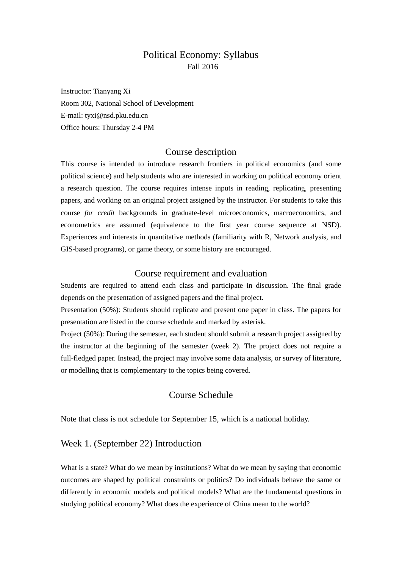# Political Economy: Syllabus Fall 2016

Instructor: Tianyang Xi Room 302, National School of Development E-mail: tyxi@nsd.pku.edu.cn Office hours: Thursday 2-4 PM

# Course description

This course is intended to introduce research frontiers in political economics (and some political science) and help students who are interested in working on political economy orient a research question. The course requires intense inputs in reading, replicating, presenting papers, and working on an original project assigned by the instructor. For students to take this course *for credit* backgrounds in graduate-level microeconomics, macroeconomics, and econometrics are assumed (equivalence to the first year course sequence at NSD). Experiences and interests in quantitative methods (familiarity with R, Network analysis, and GIS-based programs), or game theory, or some history are encouraged.

# Course requirement and evaluation

Students are required to attend each class and participate in discussion. The final grade depends on the presentation of assigned papers and the final project.

Presentation (50%): Students should replicate and present one paper in class. The papers for presentation are listed in the course schedule and marked by asterisk.

Project (50%): During the semester, each student should submit a research project assigned by the instructor at the beginning of the semester (week 2). The project does not require a full-fledged paper. Instead, the project may involve some data analysis, or survey of literature, or modelling that is complementary to the topics being covered.

# Course Schedule

Note that class is not schedule for September 15, which is a national holiday.

# Week 1. (September 22) Introduction

What is a state? What do we mean by institutions? What do we mean by saying that economic outcomes are shaped by political constraints or politics? Do individuals behave the same or differently in economic models and political models? What are the fundamental questions in studying political economy? What does the experience of China mean to the world?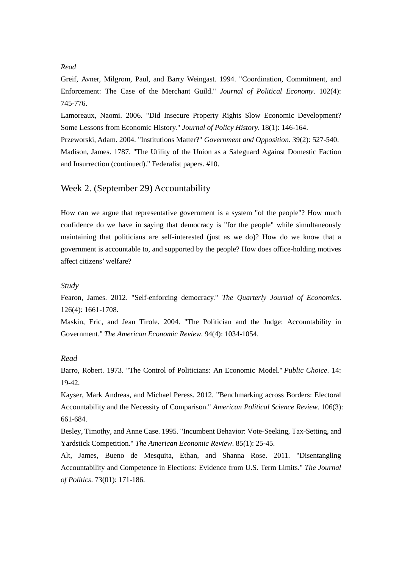### *Read*

Greif, Avner, Milgrom, Paul, and Barry Weingast. 1994. "Coordination, Commitment, and Enforcement: The Case of the Merchant Guild." *Journal of Political Economy*. 102(4): 745-776.

Lamoreaux, Naomi. 2006. "Did Insecure Property Rights Slow Economic Development? Some Lessons from Economic History." *Journal of Policy History*. 18(1): 146-164. Przeworski, Adam. 2004. "Institutions Matter?" *Government and Opposition*. 39(2): 527-540. Madison, James. 1787. "The Utility of the Union as a Safeguard Against Domestic Faction

# Week 2. (September 29) Accountability

and Insurrection (continued)." Federalist papers. #10.

How can we argue that representative government is a system "of the people"? How much confidence do we have in saying that democracy is "for the people" while simultaneously maintaining that politicians are self-interested (just as we do)? How do we know that a government is accountable to, and supported by the people? How does office-holding motives affect citizens' welfare?

#### *Study*

Fearon, James. 2012. "Self-enforcing democracy." *The Quarterly Journal of Economics*. 126(4): 1661-1708.

Maskin, Eric, and Jean Tirole. 2004. "The Politician and the Judge: Accountability in Government.'' *The American Economic Review*. 94(4): 1034-1054.

### *Read*

Barro, Robert. 1973. "The Control of Politicians: An Economic Model.'' *Public Choice*. 14: 19-42.

Kayser, Mark Andreas, and Michael Peress. 2012. "Benchmarking across Borders: Electoral Accountability and the Necessity of Comparison." *American Political Science Review*. 106(3): 661-684.

Besley, Timothy, and Anne Case. 1995. "Incumbent Behavior: Vote-Seeking, Tax-Setting, and Yardstick Competition." *The American Economic Review*. 85(1): 25-45.

Alt, James, Bueno de Mesquita, Ethan, and Shanna Rose. 2011. "Disentangling Accountability and Competence in Elections: Evidence from U.S. Term Limits." *The Journal of Politics*. 73(01): 171-186.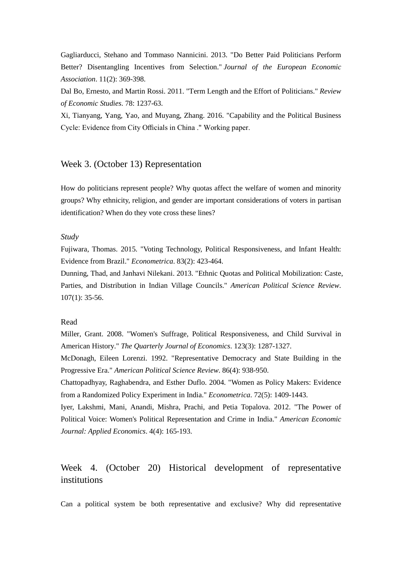Gagliarducci, Stehano and Tommaso Nannicini. 2013. "Do Better Paid Politicians Perform Better? Disentangling Incentives from Selection." *Journal of the European Economic Association*. 11(2): 369-398.

Dal Bo, Ernesto, and Martin Rossi. 2011. "Term Length and the Effort of Politicians." *Review of Economic Studies*. 78: 1237-63.

Xi, Tianyang, Yang, Yao, and Muyang, Zhang. 2016. "Capability and the Political Business Cycle: Evidence from City Officials in China ." Working paper.

# Week 3. (October 13) Representation

How do politicians represent people? Why quotas affect the welfare of women and minority groups? Why ethnicity, religion, and gender are important considerations of voters in partisan identification? When do they vote cross these lines?

### *Study*

Fujiwara, Thomas. 2015. "Voting Technology, Political Responsiveness, and Infant Health: Evidence from Brazil." *Econometrica*. 83(2): 423-464.

Dunning, Thad, and Janhavi Nilekani. 2013. "Ethnic Quotas and Political Mobilization: Caste, Parties, and Distribution in Indian Village Councils." *American Political Science Review*. 107(1): 35-56.

### Read

Miller, Grant. 2008. "Women's Suffrage, Political Responsiveness, and Child Survival in American History." *The Quarterly Journal of Economics*. 123(3): 1287-1327. McDonagh, Eileen Lorenzi. 1992. "Representative Democracy and State Building in the Progressive Era." *American Political Science Review*. 86(4): 938-950.

Chattopadhyay, Raghabendra, and Esther Duflo. 2004. "Women as Policy Makers: Evidence from a Randomized Policy Experiment in India." *Econometrica*. 72(5): 1409-1443.

Iyer, Lakshmi, Mani, Anandi, Mishra, Prachi, and Petia Topalova. 2012. "The Power of Political Voice: Women's Political Representation and Crime in India." *American Economic Journal: Applied Economics*. 4(4): 165-193.

# Week 4. (October 20) Historical development of representative institutions

Can a political system be both representative and exclusive? Why did representative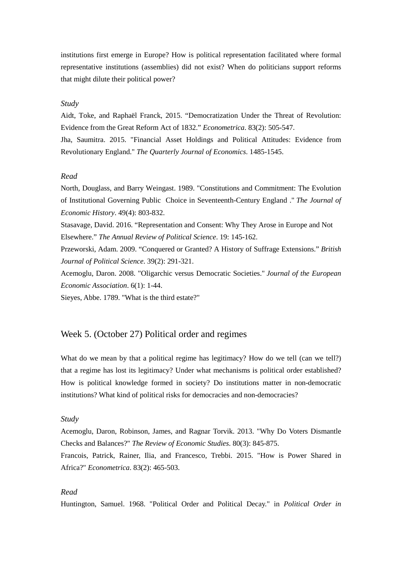institutions first emerge in Europe? How is political representation facilitated where formal representative institutions (assemblies) did not exist? When do politicians support reforms that might dilute their political power?

### *Study*

Aidt, Toke, and Raphaël Franck, 2015. "Democratization Under the Threat of Revolution: Evidence from the Great Reform Act of 1832." *Econometrica*. 83(2): 505-547. Jha, Saumitra. 2015. "Financial Asset Holdings and Political Attitudes: Evidence from Revolutionary England." *The Quarterly Journal of Economics*. 1485-1545.

### *Read*

North, Douglass, and Barry Weingast. 1989. "Constitutions and Commitment: The Evolution of Institutional Governing Public Choice in Seventeenth-Century England ." *The Journal of Economic History*. 49(4): 803-832.

Stasavage, David. 2016. "Representation and Consent: Why They Arose in Europe and Not Elsewhere." *The Annual Review of Political Science*. 19: 145-162.

Przeworski, Adam. 2009. "Conquered or Granted? A History of Suffrage Extensions." *British Journal of Political Science*. 39(2): 291-321.

Acemoglu, Daron. 2008. "Oligarchic versus Democratic Societies." *Journal of the European Economic Association*. 6(1): 1-44.

Sieyes, Abbe. 1789. "What is the third estate?"

# Week 5. (October 27) Political order and regimes

What do we mean by that a political regime has legitimacy? How do we tell (can we tell?) that a regime has lost its legitimacy? Under what mechanisms is political order established? How is political knowledge formed in society? Do institutions matter in non-democratic institutions? What kind of political risks for democracies and non-democracies?

### *Study*

Acemoglu, Daron, Robinson, James, and Ragnar Torvik. 2013. "Why Do Voters Dismantle Checks and Balances?" *The Review of Economic Studies*. 80(3): 845-875.

Francois, Patrick, Rainer, Ilia, and Francesco, Trebbi. 2015. "How is Power Shared in Africa?" *Econometrica*. 83(2): 465-503.

#### *Read*

Huntington, Samuel. 1968. "Political Order and Political Decay." in *Political Order in*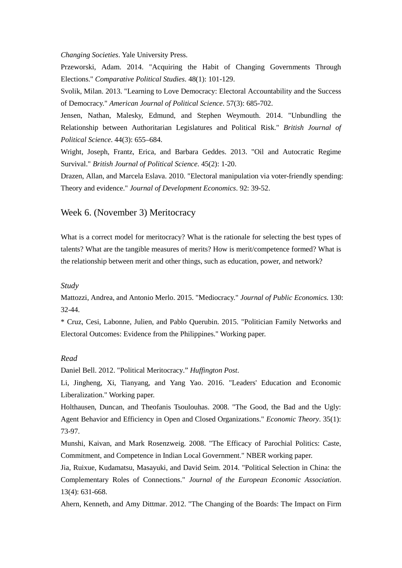*Changing Societies*. Yale University Press.

Przeworski, Adam. 2014. "Acquiring the Habit of Changing Governments Through Elections." *Comparative Political Studies*. 48(1): 101-129.

Svolik, Milan. 2013. "Learning to Love Democracy: Electoral Accountability and the Success of Democracy." *American Journal of Political Science*. 57(3): 685-702.

Jensen, Nathan, Malesky, Edmund, and Stephen Weymouth. 2014. "Unbundling the Relationship between Authoritarian Legislatures and Political Risk." *British Journal of Political Science*. 44(3): 655–684.

Wright, Joseph, Frantz, Erica, and Barbara Geddes. 2013. "Oil and Autocratic Regime Survival." *British Journal of Political Science*. 45(2): 1-20.

Drazen, Allan, and Marcela Eslava. 2010. "Electoral manipulation via voter-friendly spending: Theory and evidence." *Journal of Development Economics*. 92: 39-52.

# Week 6. (November 3) Meritocracy

What is a correct model for meritocracy? What is the rationale for selecting the best types of talents? What are the tangible measures of merits? How is merit/competence formed? What is the relationship between merit and other things, such as education, power, and network?

#### *Study*

Mattozzi, Andrea, and Antonio Merlo. 2015. "Mediocracy." *Journal of Public Economics*. 130: 32-44.

\* Cruz, Cesi, Labonne, Julien, and Pablo Querubin. 2015. "Politician Family Networks and Electoral Outcomes: Evidence from the Philippines." Working paper.

### *Read*

Daniel Bell. 2012. "Political Meritocracy." *Huffington Post*.

Li, Jingheng, Xi, Tianyang, and Yang Yao. 2016. "Leaders' Education and Economic Liberalization." Working paper.

Holthausen, Duncan, and Theofanis Tsoulouhas. 2008. "The Good, the Bad and the Ugly: Agent Behavior and Efficiency in Open and Closed Organizations." *Economic Theory*. 35(1): 73-97.

Munshi, Kaivan, and Mark Rosenzweig. 2008. "The Efficacy of Parochial Politics: Caste, Commitment, and Competence in Indian Local Government." NBER working paper.

Jia, Ruixue, Kudamatsu, Masayuki, and David Seim. 2014. "Political Selection in China: the Complementary Roles of Connections." *Journal of the European Economic Association*. 13(4): 631-668.

Ahern, Kenneth, and Amy Dittmar. 2012. "The Changing of the Boards: The Impact on Firm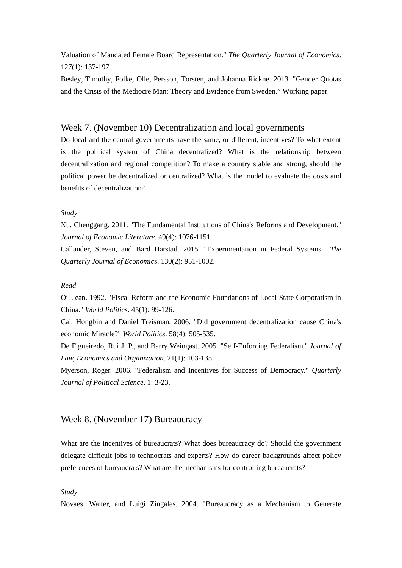Valuation of Mandated Female Board Representation." *The Quarterly Journal of Economics*. 127(1): 137-197.

Besley, Timothy, Folke, Olle, Persson, Torsten, and Johanna Rickne. 2013. "Gender Quotas and the Crisis of the Mediocre Man: Theory and Evidence from Sweden." Working paper.

## Week 7. (November 10) Decentralization and local governments

Do local and the central governments have the same, or different, incentives? To what extent is the political system of China decentralized? What is the relationship between decentralization and regional competition? To make a country stable and strong, should the political power be decentralized or centralized? What is the model to evaluate the costs and benefits of decentralization?

### *Study*

Xu, Chenggang. 2011. "The Fundamental Institutions of China's Reforms and Development.'' *Journal of Economic Literature*. 49(4): 1076-1151.

Callander, Steven, and Bard Harstad. 2015. "Experimentation in Federal Systems." *The Quarterly Journal of Economic*s. 130(2): 951-1002.

#### *Read*

Oi, Jean. 1992. "Fiscal Reform and the Economic Foundations of Local State Corporatism in China." *World Politics*. 45(1): 99-126.

Cai, Hongbin and Daniel Treisman, 2006. "Did government decentralization cause China's economic Miracle?" *World Politics*. 58(4): 505-535.

De Figueiredo, Rui J. P., and Barry Weingast. 2005. "Self-Enforcing Federalism.'' *Journal of Law, Economics and Organization*. 21(1): 103-135.

Myerson, Roger. 2006. "Federalism and Incentives for Success of Democracy." *Quarterly Journal of Political Science*. 1: 3-23.

# Week 8. (November 17) Bureaucracy

What are the incentives of bureaucrats? What does bureaucracy do? Should the government delegate difficult jobs to technocrats and experts? How do career backgrounds affect policy preferences of bureaucrats? What are the mechanisms for controlling bureaucrats?

#### *Study*

Novaes, Walter, and Luigi Zingales. 2004. "Bureaucracy as a Mechanism to Generate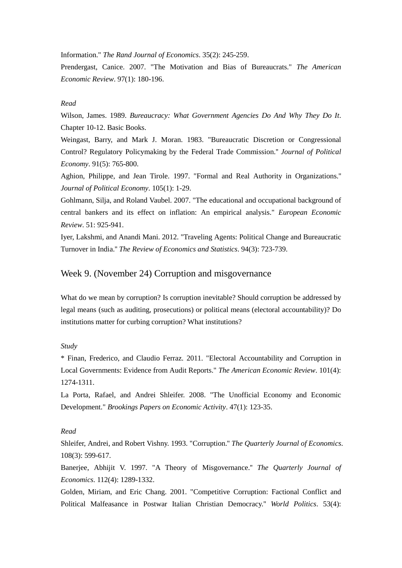Information." *The Rand Journal of Economics*. 35(2): 245-259.

Prendergast, Canice. 2007. "The Motivation and Bias of Bureaucrats." *The American Economic Review*. 97(1): 180-196.

#### *Read*

Wilson, James. 1989. *Bureaucracy: What Government Agencies Do And Why They Do It*. Chapter 10-12. Basic Books.

Weingast, Barry, and Mark J. Moran. 1983. "Bureaucratic Discretion or Congressional Control? Regulatory Policymaking by the Federal Trade Commission.'' *Journal of Political Economy*. 91(5): 765-800.

Aghion, Philippe, and Jean Tirole. 1997. "Formal and Real Authority in Organizations.'' *Journal of Political Economy*. 105(1): 1-29.

Gohlmann, Silja, and Roland Vaubel. 2007. "The educational and occupational background of central bankers and its effect on inflation: An empirical analysis." *European Economic Review*. 51: 925-941.

Iyer, Lakshmi, and Anandi Mani. 2012. "Traveling Agents: Political Change and Bureaucratic Turnover in India.'' *The Review of Economics and Statistics*. 94(3): 723-739.

### Week 9. (November 24) Corruption and misgovernance

What do we mean by corruption? Is corruption inevitable? Should corruption be addressed by legal means (such as auditing, prosecutions) or political means (electoral accountability)? Do institutions matter for curbing corruption? What institutions?

#### *Study*

\* Finan, Frederico, and Claudio Ferraz. 2011. "Electoral Accountability and Corruption in Local Governments: Evidence from Audit Reports." *The American Economic Review*. 101(4): 1274-1311.

La Porta, Rafael, and Andrei Shleifer. 2008. "The Unofficial Economy and Economic Development." *Brookings Papers on Economic Activity*. 47(1): 123-35.

# *Read*

Shleifer, Andrei, and Robert Vishny. 1993. "Corruption.'' *The Quarterly Journal of Economics*. 108(3): 599-617.

Banerjee, Abhijit V. 1997. "A Theory of Misgovernance.'' *The Quarterly Journal of Economics*. 112(4): 1289-1332.

Golden, Miriam, and Eric Chang. 2001. "Competitive Corruption: Factional Conflict and Political Malfeasance in Postwar Italian Christian Democracy.'' *World Politics*. 53(4):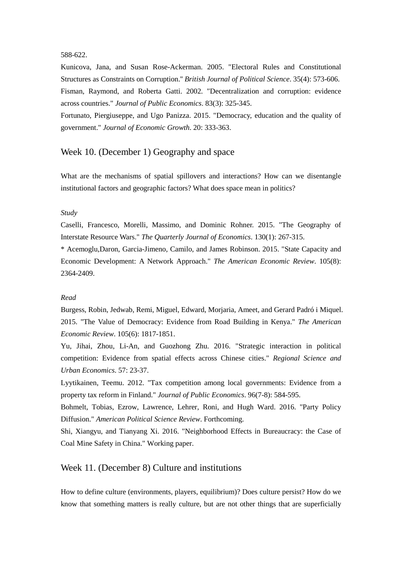#### 588-622.

Kunicova, Jana, and Susan Rose-Ackerman. 2005. "Electoral Rules and Constitutional Structures as Constraints on Corruption.'' *British Journal of Political Science*. 35(4): 573-606. Fisman, Raymond, and Roberta Gatti. 2002. "Decentralization and corruption: evidence across countries." *Journal of Public Economics*. 83(3): 325-345.

Fortunato, Piergiuseppe, and Ugo Panizza. 2015. "Democracy, education and the quality of government." *Journal of Economic Growth*. 20: 333-363.

# Week 10. (December 1) Geography and space

What are the mechanisms of spatial spillovers and interactions? How can we disentangle institutional factors and geographic factors? What does space mean in politics?

#### *Study*

Caselli, Francesco, Morelli, Massimo, and Dominic Rohner. 2015. "The Geography of Interstate Resource Wars." *The Quarterly Journal of Economics*. 130(1): 267-315.

\* Acemoglu,Daron, Garcia-Jimeno, Camilo, and James Robinson. 2015. "State Capacity and Economic Development: A Network Approach." *The American Economic Review*. 105(8): 2364-2409.

#### *Read*

Burgess, Robin, Jedwab, Remi, Miguel, Edward, Morjaria, Ameet, and Gerard Padró i Miquel. 2015. "The Value of Democracy: Evidence from Road Building in Kenya." *The American Economic Review*. 105(6): 1817-1851.

Yu, Jihai, Zhou, Li-An, and Guozhong Zhu. 2016. "Strategic interaction in political competition: Evidence from spatial effects across Chinese cities." *Regional Science and Urban Economics*. 57: 23-37.

Lyytikainen, Teemu. 2012. "Tax competition among local governments: Evidence from a property tax reform in Finland." *Journal of Public Economics*. 96(7-8): 584-595.

Bohmelt, Tobias, Ezrow, Lawrence, Lehrer, Roni, and Hugh Ward. 2016. "Party Policy Diffusion." *American Political Science Review*. Forthcoming.

Shi, Xiangyu, and Tianyang Xi. 2016. "Neighborhood Effects in Bureaucracy: the Case of Coal Mine Safety in China." Working paper.

# Week 11. (December 8) Culture and institutions

How to define culture (environments, players, equilibrium)? Does culture persist? How do we know that something matters is really culture, but are not other things that are superficially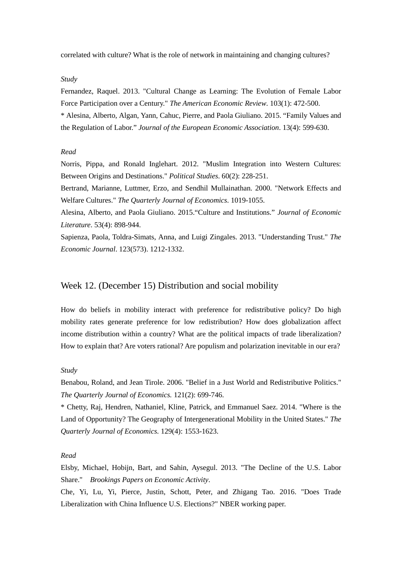correlated with culture? What is the role of network in maintaining and changing cultures?

#### *Study*

Fernandez, Raquel. 2013. "Cultural Change as Learning: The Evolution of Female Labor Force Participation over a Century." *The American Economic Review*. 103(1): 472-500. \* Alesina, Alberto, Algan, Yann, Cahuc, Pierre, and Paola Giuliano. 2015. "Family Values and

the Regulation of Labor." *Journal of the European Economic Association*. 13(4): 599-630.

### *Read*

Norris, Pippa, and Ronald Inglehart. 2012. "Muslim Integration into Western Cultures: Between Origins and Destinations." *Political Studies*. 60(2): 228-251.

Bertrand, Marianne, Luttmer, Erzo, and Sendhil Mullainathan. 2000. "Network Effects and Welfare Cultures." *The Quarterly Journal of Economics*. 1019-1055.

Alesina, Alberto, and Paola Giuliano. 2015."Culture and Institutions." *Journal of Economic Literature*. 53(4): 898-944.

Sapienza, Paola, Toldra-Simats, Anna, and Luigi Zingales. 2013. "Understanding Trust." *The Economic Journal*. 123(573). 1212-1332.

# Week 12. (December 15) Distribution and social mobility

How do beliefs in mobility interact with preference for redistributive policy? Do high mobility rates generate preference for low redistribution? How does globalization affect income distribution within a country? What are the political impacts of trade liberalization? How to explain that? Are voters rational? Are populism and polarization inevitable in our era?

#### *Study*

Benabou, Roland, and Jean Tirole. 2006. "Belief in a Just World and Redistributive Politics." *The Quarterly Journal of Economics.* 121(2): 699-746.

\* Chetty, Raj, Hendren, Nathaniel, Kline, Patrick, and Emmanuel Saez. 2014. "Where is the Land of Opportunity? The Geography of Intergenerational Mobility in the United States." *The Quarterly Journal of Economics.* 129(4): 1553-1623.

### *Read*

Elsby, Michael, Hobijn, Bart, and Sahin, Aysegul. 2013. "The Decline of the U.S. Labor Share." *Brookings Papers on Economic Activity*.

Che, Yi, Lu, Yi, Pierce, Justin, Schott, Peter, and Zhigang Tao. 2016. "Does Trade Liberalization with China Influence U.S. Elections?" NBER working paper.